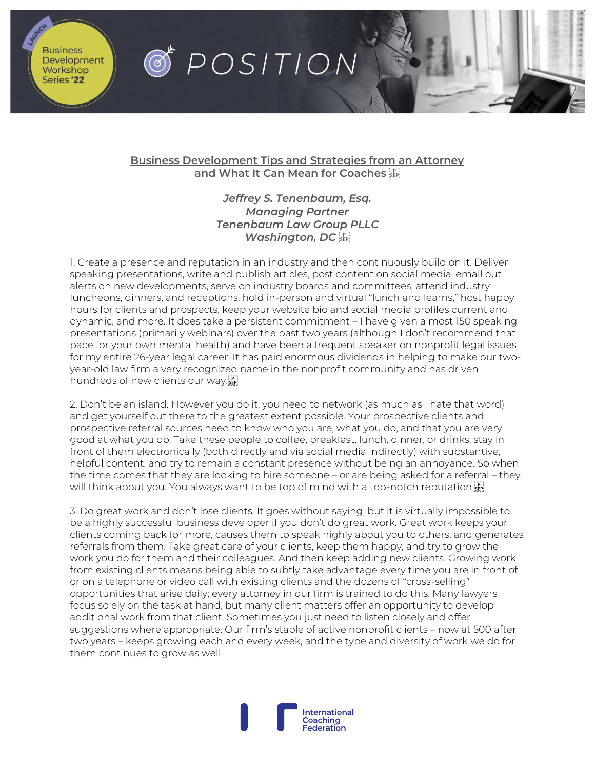**Business**  $F$  POSITION Development Workshop Series '22

## **Business Development Tips and Strategies from an Attorney and What It Can Mean for Coaches**

*Jeffrey S. Tenenbaum, Esq. Managing Partner Tenenbaum Law Group PLLC Washington, DC* 

1. Create a presence and reputation in an industry and then continuously build on it. Deliver speaking presentations, write and publish articles, post content on social media, email out alerts on new developments, serve on industry boards and committees, attend industry luncheons, dinners, and receptions, hold in-person and virtual "lunch and learns," host happy hours for clients and prospects, keep your website bio and social media profiles current and dynamic, and more. It does take a persistent commitment – I have given almost 150 speaking presentations (primarily webinars) over the past two years (although I don't recommend that pace for your own mental health) and have been a frequent speaker on nonprofit legal issues for my entire 26-year legal career. It has paid enormous dividends in helping to make our twoyear-old law firm a very recognized name in the nonprofit community and has driven hundreds of new clients our way.

2. Don't be an island. However you do it, you need to network (as much as I hate that word) and get yourself out there to the greatest extent possible. Your prospective clients and prospective referral sources need to know who you are, what you do, and that you are very good at what you do. Take these people to coffee, breakfast, lunch, dinner, or drinks, stay in front of them electronically (both directly and via social media indirectly) with substantive, helpful content, and try to remain a constant presence without being an annoyance. So when the time comes that they are looking to hire someone – or are being asked for a referral – they will think about you. You always want to be top of mind with a top-notch reputation.

3. Do great work and don't lose clients. It goes without saying, but it is virtually impossible to be a highly successful business developer if you don't do great work. Great work keeps your clients coming back for more, causes them to speak highly about you to others, and generates referrals from them. Take great care of your clients, keep them happy, and try to grow the work you do for them and their colleagues. And then keep adding new clients. Growing work from existing clients means being able to subtly take advantage every time you are in front of or on a telephone or video call with existing clients and the dozens of "cross-selling" opportunities that arise daily; every attorney in our firm is trained to do this. Many lawyers focus solely on the task at hand, but many client matters offer an opportunity to develop additional work from that client. Sometimes you just need to listen closely and offer suggestions where appropriate. Our firm's stable of active nonprofit clients – now at 500 after two years – keeps growing each and every week, and the type and diversity of work we do for them continues to grow as well.

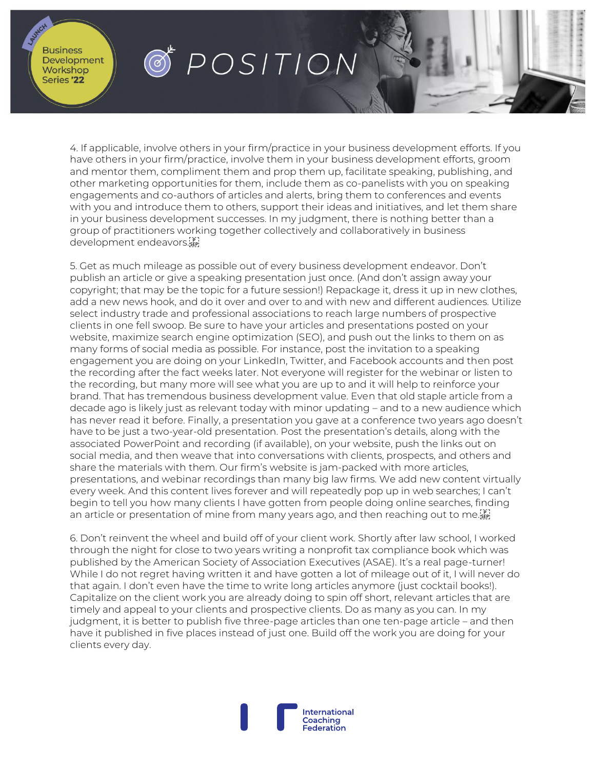**Business** Development Workshop Series '22

## $\circledcirc$   $POSITION$

4. If applicable, involve others in your firm/practice in your business development efforts. If you have others in your firm/practice, involve them in your business development efforts, groom and mentor them, compliment them and prop them up, facilitate speaking, publishing, and other marketing opportunities for them, include them as co-panelists with you on speaking engagements and co-authors of articles and alerts, bring them to conferences and events with you and introduce them to others, support their ideas and initiatives, and let them share in your business development successes. In my judgment, there is nothing better than a group of practitioners working together collectively and collaboratively in business development endeavors.

5. Get as much mileage as possible out of every business development endeavor. Don't publish an article or give a speaking presentation just once. (And don't assign away your copyright; that may be the topic for a future session!) Repackage it, dress it up in new clothes, add a new news hook, and do it over and over to and with new and different audiences. Utilize select industry trade and professional associations to reach large numbers of prospective clients in one fell swoop. Be sure to have your articles and presentations posted on your website, maximize search engine optimization (SEO), and push out the links to them on as many forms of social media as possible. For instance, post the invitation to a speaking engagement you are doing on your LinkedIn, Twitter, and Facebook accounts and then post the recording after the fact weeks later. Not everyone will register for the webinar or listen to the recording, but many more will see what you are up to and it will help to reinforce your brand. That has tremendous business development value. Even that old staple article from a decade ago is likely just as relevant today with minor updating – and to a new audience which has never read it before. Finally, a presentation you gave at a conference two years ago doesn't have to be just a two-year-old presentation. Post the presentation's details, along with the associated PowerPoint and recording (if available), on your website, push the links out on social media, and then weave that into conversations with clients, prospects, and others and share the materials with them. Our firm's website is jam-packed with more articles, presentations, and webinar recordings than many big law firms. We add new content virtually every week. And this content lives forever and will repeatedly pop up in web searches; I can't begin to tell you how many clients I have gotten from people doing online searches, finding an article or presentation of mine from many years ago, and then reaching out to me.

6. Don't reinvent the wheel and build off of your client work. Shortly after law school, I worked through the night for close to two years writing a nonprofit tax compliance book which was published by the American Society of Association Executives (ASAE). It's a real page-turner! While I do not regret having written it and have gotten a lot of mileage out of it, I will never do that again. I don't even have the time to write long articles anymore (just cocktail books!). Capitalize on the client work you are already doing to spin off short, relevant articles that are timely and appeal to your clients and prospective clients. Do as many as you can. In my judgment, it is better to publish five three-page articles than one ten-page article – and then have it published in five places instead of just one. Build off the work you are doing for your clients every day.